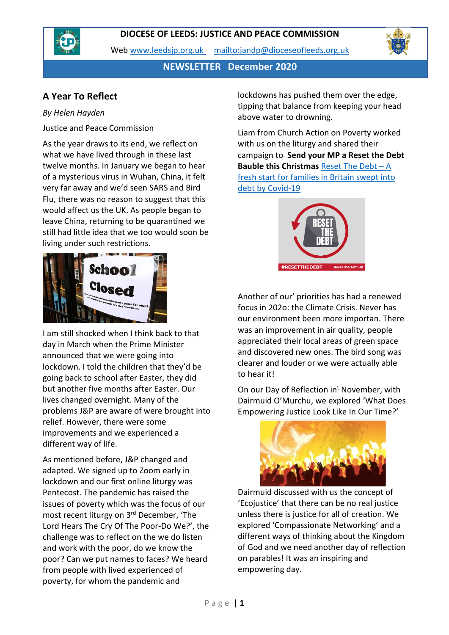



**NEWSLETTER December 2020**

## **A Year To Reflect**

#### *By Helen Hayden*

Justice and Peace Commission

As the year draws to its end, we reflect on what we have lived through in these last twelve months. In January we began to hear of a mysterious virus in Wuhan, China, it felt very far away and we'd seen SARS and Bird Flu, there was no reason to suggest that this would affect us the UK. As people began to leave China, returning to be quarantined we still had little idea that we too would soon be living under such restrictions.



I am still shocked when I think back to that day in March when the Prime Minister announced that we were going into lockdown. I told the children that they'd be going back to school after Easter, they did but another five months after Easter. Our lives changed overnight. Many of the problems J&P are aware of were brought into relief. However, there were some improvements and we experienced a different way of life.

As mentioned before, J&P changed and adapted. We signed up to Zoom early in lockdown and our first online liturgy was Pentecost. The pandemic has raised the issues of poverty which was the focus of our most recent liturgy on 3rd December, 'The Lord Hears The Cry Of The Poor-Do We?', the challenge was to reflect on the we do listen and work with the poor, do we know the poor? Can we put names to faces? We heard from people with lived experienced of poverty, for whom the pandemic and

lockdowns has pushed them over the edge, tipping that balance from keeping your head above water to drowning.

Liam from Church Action on Poverty worked with us on the liturgy and shared their campaign to **Send your MP a Reset the Debt Bauble this Christmas** [Reset The Debt](https://resetthedebt.uk/) – A [fresh start for families in Britain swept into](https://resetthedebt.uk/)  [debt by Covid-19](https://resetthedebt.uk/)



Another of our' priorities has had a renewed focus in 202o: the Climate Crisis. Never has our environment been more importan. There was an improvement in air quality, people appreciated their local areas of green space and discovered new ones. The bird song was clearer and louder or we were actually able to hear it!

On our Day of Reflection in<sup>t</sup> November, with Dairmuid O'Murchu, we explored 'What Does Empowering Justice Look Like In Our Time?'



Dairmuid discussed with us the concept of 'Ecojustice' that there can be no real justice unless there is justice for all of creation. We explored 'Compassionate Networking' and a different ways of thinking about the Kingdom of God and we need another day of reflection on parables! It was an inspiring and empowering day.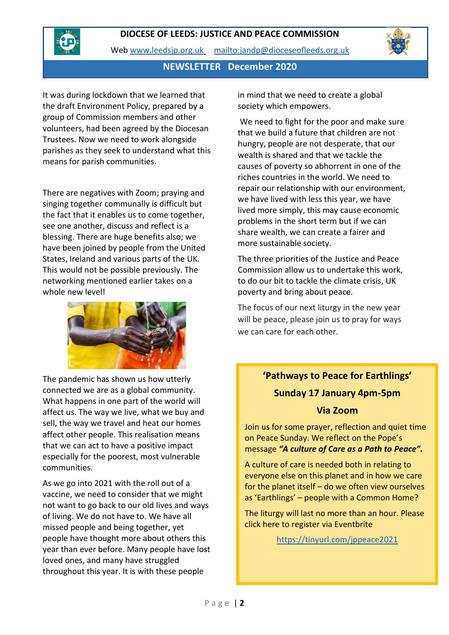

Web [www.leedsjp.org.uk](http://www.leedsjp.org.uk/) <mailto:jandp@dioceseofleeds.org.uk>

#### **NEWSLETTER December 2020**

It was during lockdown that we learned that the draft Environment Policy, prepared by a group of Commission members and other volunteers, had been agreed by the Diocesan Trustees. Now we need to work alongside parishes as they seek to understand what this means for parish communities.

There are negatives with Zoom; praying and singing together communally is difficult but the fact that it enables us to come together, see one another, discuss and reflect is a blessing. There are huge benefits also; we have been joined by people from the United States, Ireland and various parts of the UK. This would not be possible previously. The networking mentioned earlier takes on a whole new level!



The pandemic has shown us how utterly connected we are as a global community. What happens in one part of the world will affect us. The way we live, what we buy and sell, the way we travel and heat our homes affect other people. This realisation means that we can act to have a positive impact especially for the poorest, most vulnerable communities.

As we go into 2021 with the roll out of a vaccine, we need to consider that we might not want to go back to our old lives and ways of living. We do not have to. We have all missed people and being together, yet people have thought more about others this year than ever before. Many people have lost loved ones, and many have struggled throughout this year. It is with these people

in mind that we need to create a global society which empowers.

We need to fight for the poor and make sure that we build a future that children are not hungry, people are not desperate, that our wealth is shared and that we tackle the causes of poverty so abhorrent in one of the riches countries in the world. We need to repair our relationship with our environment, we have lived with less this year, we have lived more simply, this may cause economic problems in the short term but if we can share wealth, we can create a fairer and more sustainable society.

The three priorities of the Justice and Peace Commission allow us to undertake this work, to do our bit to tackle the climate crisis, UK poverty and bring about peace.

The focus of our next liturgy in the new year will be peace, please join us to pray for ways we can care for each other.

# **'Pathways to Peace for Earthlings' Sunday 17 January 4pm-5pm**

#### **Via Zoom**

Join us for some prayer, reflection and quiet time on Peace Sunday. We reflect on the Pope's message *"A culture of Care as a Path to Peace".*

A culture of care is needed both in relating to everyone else on this planet and in how we care for the planet itself – do we often view ourselves as 'Earthlings' – people with a Common Home?

The liturgy will last no more than an hour. Please click here to register via Eventbrite

<https://tinyurl.com/jppeace2021>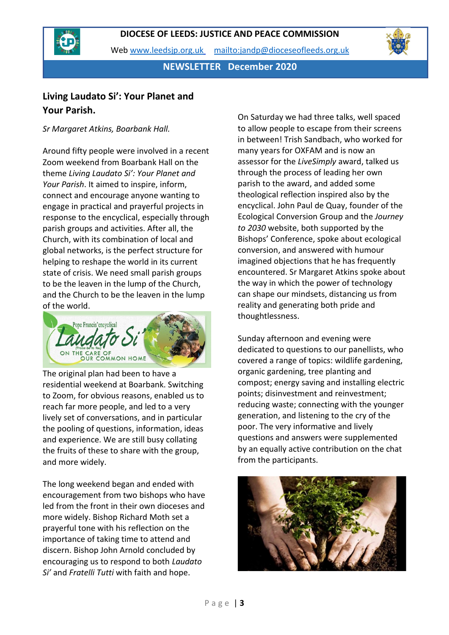



**NEWSLETTER December 2020**

# **Living Laudato Si': Your Planet and Your Parish.**

*Sr Margaret Atkins, Boarbank Hall.*

Around fifty people were involved in a recent Zoom weekend from Boarbank Hall on the theme *Living Laudato Si': Your Planet and Your Parish*. It aimed to inspire, inform, connect and encourage anyone wanting to engage in practical and prayerful projects in response to the encyclical, especially through parish groups and activities. After all, the Church, with its combination of local and global networks, is the perfect structure for helping to reshape the world in its current state of crisis. We need small parish groups to be the leaven in the lump of the Church, and the Church to be the leaven in the lump of the world.



The original plan had been to have a residential weekend at Boarbank. Switching to Zoom, for obvious reasons, enabled us to reach far more people, and led to a very lively set of conversations, and in particular the pooling of questions, information, ideas and experience. We are still busy collating the fruits of these to share with the group, and more widely.

The long weekend began and ended with encouragement from two bishops who have led from the front in their own dioceses and more widely. Bishop Richard Moth set a prayerful tone with his reflection on the importance of taking time to attend and discern. Bishop John Arnold concluded by encouraging us to respond to both *Laudato Si'* and *Fratelli Tutti* with faith and hope.

On Saturday we had three talks, well spaced to allow people to escape from their screens in between! Trish Sandbach, who worked for many years for OXFAM and is now an assessor for the *LiveSimply* award, talked us through the process of leading her own parish to the award, and added some theological reflection inspired also by the encyclical. John Paul de Quay, founder of the Ecological Conversion Group and the *Journey to 2030* website, both supported by the Bishops' Conference, spoke about ecological conversion, and answered with humour imagined objections that he has frequently encountered. Sr Margaret Atkins spoke about the way in which the power of technology can shape our mindsets, distancing us from reality and generating both pride and thoughtlessness.

Sunday afternoon and evening were dedicated to questions to our panellists, who covered a range of topics: wildlife gardening, organic gardening, tree planting and compost; energy saving and installing electric points; disinvestment and reinvestment; reducing waste; connecting with the younger generation, and listening to the cry of the poor. The very informative and lively questions and answers were supplemented by an equally active contribution on the chat from the participants.



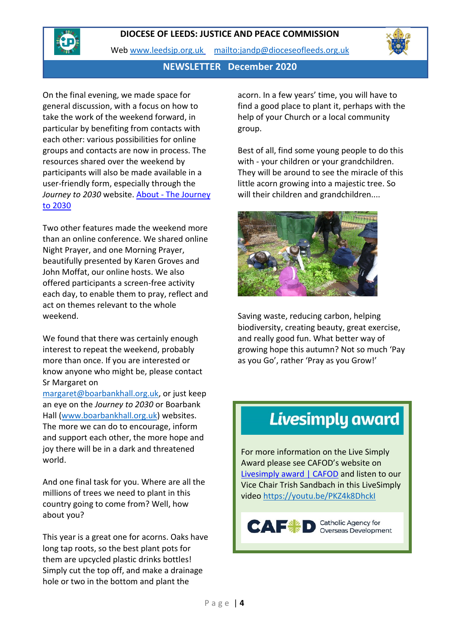

Web [www.leedsjp.org.uk](http://www.leedsjp.org.uk/) <mailto:jandp@dioceseofleeds.org.uk>

### **NEWSLETTER December 2020**

On the final evening, we made space for general discussion, with a focus on how to take the work of the weekend forward, in particular by benefiting from contacts with each other: various possibilities for online groups and contacts are now in process. The resources shared over the weekend by participants will also be made available in a user-friendly form, especially through the Journey to 2030 website. About - The Journey [to 2030](https://journeyto2030.org/about/#:~:text=The%20Journey%20to%202030%20will%20celebrate%20the%20successes,by%202030%2C%20we%20run%20the%20risk%20of%20)

Two other features made the weekend more than an online conference. We shared online Night Prayer, and one Morning Prayer, beautifully presented by Karen Groves and John Moffat, our online hosts. We also offered participants a screen-free activity each day, to enable them to pray, reflect and act on themes relevant to the whole weekend.

We found that there was certainly enough interest to repeat the weekend, probably more than once. If you are interested or know anyone who might be, please contact Sr Margaret on

[margaret@boarbankhall.org.uk,](mailto:margaret@boarbankhall.org.uk) or just keep an eye on the *Journey to 2030* or Boarbank Hall [\(www.boarbankhall.org.uk\)](http://www.boarbankhall.org.uk/) websites. The more we can do to encourage, inform and support each other, the more hope and joy there will be in a dark and threatened world.

And one final task for you. Where are all the millions of trees we need to plant in this country going to come from? Well, how about you?

This year is a great one for acorns. Oaks have long tap roots, so the best plant pots for them are upcycled plastic drinks bottles! Simply cut the top off, and make a drainage hole or two in the bottom and plant the

acorn. In a few years' time, you will have to find a good place to plant it, perhaps with the help of your Church or a local community group.

Best of all, find some young people to do this with - your children or your grandchildren. They will be around to see the miracle of this little acorn growing into a majestic tree. So will their children and grandchildren....



Saving waste, reducing carbon, helping biodiversity, creating beauty, great exercise, and really good fun. What better way of growing hope this autumn? Not so much 'Pay as you Go', rather 'Pray as you Grow!'

# **Livesimply award**

For more information on the Live Simply Award please see CAFOD's website on [Livesimply award | CAFOD](https://cafod.org.uk/Campaign/Livesimply-award) and listen to our Vice Chair Trish Sandbach in this LiveSimply video<https://youtu.be/PKZ4k8DhckI>

#### Catholic Agency for<br>Overseas Development  $C^{\prime}$   $\rightarrow$   $C^{\prime}$   $\rightarrow$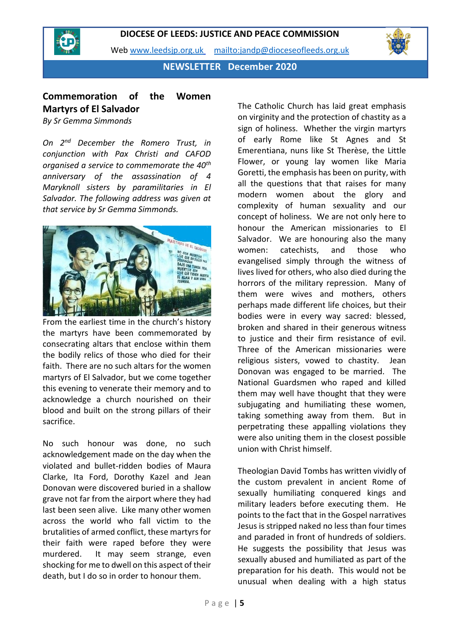

Web [www.leedsjp.org.uk](http://www.leedsjp.org.uk/) <mailto:jandp@dioceseofleeds.org.uk>

**NEWSLETTER December 2020**

# **Commemoration of the Women Martyrs of El Salvador**

*By Sr Gemma Simmonds*

*On 2nd December the Romero Trust, in conjunction with Pax Christi and CAFOD organised a service to commemorate the 40th anniversary of the assassination of 4 Maryknoll sisters by paramilitaries in El Salvador. The following address was given at that service by Sr Gemma Simmonds.*



From the earliest time in the church's history the martyrs have been commemorated by consecrating altars that enclose within them the bodily relics of those who died for their faith. There are no such altars for the women martyrs of El Salvador, but we come together this evening to venerate their memory and to acknowledge a church nourished on their blood and built on the strong pillars of their sacrifice.

No such honour was done, no such acknowledgement made on the day when the violated and bullet-ridden bodies of Maura Clarke, Ita Ford, Dorothy Kazel and Jean Donovan were discovered buried in a shallow grave not far from the airport where they had last been seen alive. Like many other women across the world who fall victim to the brutalities of armed conflict, these martyrs for their faith were raped before they were murdered. It may seem strange, even shocking for me to dwell on this aspect of their death, but I do so in order to honour them.

The Catholic Church has laid great emphasis on virginity and the protection of chastity as a sign of holiness. Whether the virgin martyrs of early Rome like St Agnes and St Emerentiana, nuns like St Therèse, the Little Flower, or young lay women like Maria Goretti, the emphasis has been on purity, with all the questions that that raises for many modern women about the glory and complexity of human sexuality and our concept of holiness. We are not only here to honour the American missionaries to El Salvador. We are honouring also the many women: catechists, and those who evangelised simply through the witness of lives lived for others, who also died during the horrors of the military repression. Many of them were wives and mothers, others perhaps made different life choices, but their bodies were in every way sacred: blessed, broken and shared in their generous witness to justice and their firm resistance of evil. Three of the American missionaries were religious sisters, vowed to chastity. Jean Donovan was engaged to be married. The National Guardsmen who raped and killed them may well have thought that they were subjugating and humiliating these women, taking something away from them. But in perpetrating these appalling violations they were also uniting them in the closest possible union with Christ himself.

Theologian David Tombs has written vividly of the custom prevalent in ancient Rome of sexually humiliating conquered kings and military leaders before executing them. He points to the fact that in the Gospel narratives Jesus is stripped naked no less than four times and paraded in front of hundreds of soldiers. He suggests the possibility that Jesus was sexually abused and humiliated as part of the preparation for his death. This would not be unusual when dealing with a high status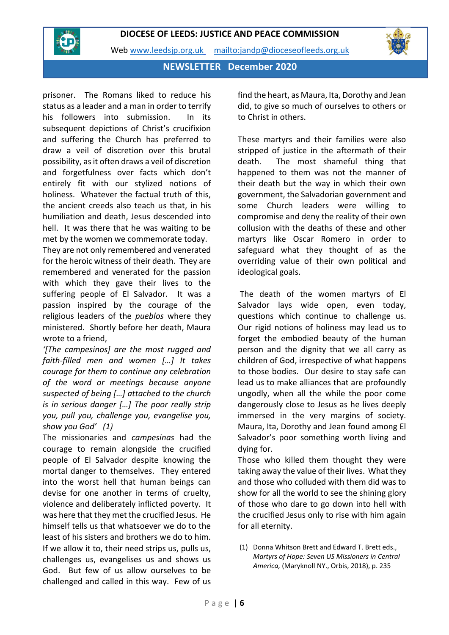

Web [www.leedsjp.org.uk](http://www.leedsjp.org.uk/) <mailto:jandp@dioceseofleeds.org.uk>

**NEWSLETTER December 2020**

prisoner. The Romans liked to reduce his status as a leader and a man in order to terrify his followers into submission. In its subsequent depictions of Christ's crucifixion and suffering the Church has preferred to draw a veil of discretion over this brutal possibility, as it often draws a veil of discretion and forgetfulness over facts which don't entirely fit with our stylized notions of holiness. Whatever the factual truth of this, the ancient creeds also teach us that, in his humiliation and death, Jesus descended into hell. It was there that he was waiting to be met by the women we commemorate today.

They are not only remembered and venerated for the heroic witness of their death. They are remembered and venerated for the passion with which they gave their lives to the suffering people of El Salvador. It was a passion inspired by the courage of the religious leaders of the *pueblos* where they ministered. Shortly before her death, Maura wrote to a friend,

*'[The campesinos] are the most rugged and faith-filled men and women […] It takes courage for them to continue any celebration of the word or meetings because anyone suspected of being […] attached to the church is in serious danger […] The poor really strip you, pull you, challenge you, evangelise you, show you God' (1)*

The missionaries and *campesinas* had the courage to remain alongside the crucified people of El Salvador despite knowing the mortal danger to themselves. They entered into the worst hell that human beings can devise for one another in terms of cruelty, violence and deliberately inflicted poverty. It was here that they met the crucified Jesus. He himself tells us that whatsoever we do to the least of his sisters and brothers we do to him. If we allow it to, their need strips us, pulls us, challenges us, evangelises us and shows us God. But few of us allow ourselves to be challenged and called in this way. Few of us

find the heart, as Maura, Ita, Dorothy and Jean did, to give so much of ourselves to others or to Christ in others.

These martyrs and their families were also stripped of justice in the aftermath of their death. The most shameful thing that happened to them was not the manner of their death but the way in which their own government, the Salvadorian government and some Church leaders were willing to compromise and deny the reality of their own collusion with the deaths of these and other martyrs like Oscar Romero in order to safeguard what they thought of as the overriding value of their own political and ideological goals.

The death of the women martyrs of El Salvador lays wide open, even today, questions which continue to challenge us. Our rigid notions of holiness may lead us to forget the embodied beauty of the human person and the dignity that we all carry as children of God, irrespective of what happens to those bodies. Our desire to stay safe can lead us to make alliances that are profoundly ungodly, when all the while the poor come dangerously close to Jesus as he lives deeply immersed in the very margins of society. Maura, Ita, Dorothy and Jean found among El Salvador's poor something worth living and dying for.

Those who killed them thought they were taking away the value of their lives. What they and those who colluded with them did was to show for all the world to see the shining glory of those who dare to go down into hell with the crucified Jesus only to rise with him again for all eternity.

(1) Donna Whitson Brett and Edward T. Brett eds., *Martyrs of Hope: Seven US Missioners in Central America,* (Maryknoll NY., Orbis, 2018), p. 235

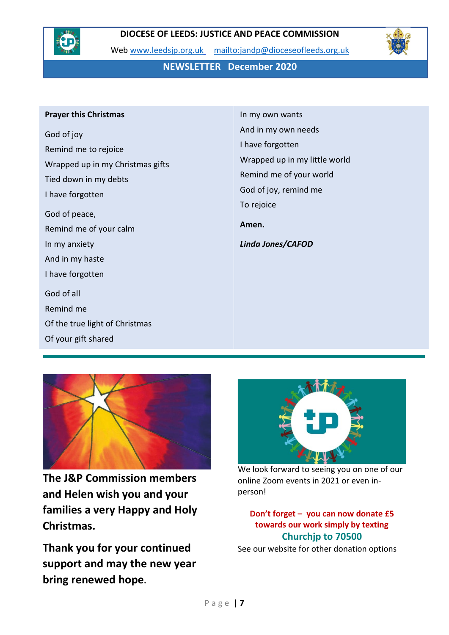

Web [www.leedsjp.org.uk](http://www.leedsjp.org.uk/) <mailto:jandp@dioceseofleeds.org.uk>

**NEWSLETTER December 2020**

#### **Prayer this Christmas**

God of joy Remind me to rejoice Wrapped up in my Christmas gifts Tied down in my debts I have forgotten God of peace, Remind me of your calm In my anxiety And in my haste I have forgotten God of all Remind me Of the true light of Christmas Of your gift shared

In my own wants And in my own needs I have forgotten Wrapped up in my little world Remind me of your world God of joy, remind me To rejoice **Amen.** *Linda Jones/CAFOD*



**The J&P Commission members and Helen wish you and your families a very Happy and Holy Christmas.** 

**Thank you for your continued support and may the new year bring renewed hope.** 



We look forward to seeing you on one of our online Zoom events in 2021 or even inperson!

**Don't forget – you can now donate £5 towards our work simply by texting Churchjp to 70500**

See our website for other donation options